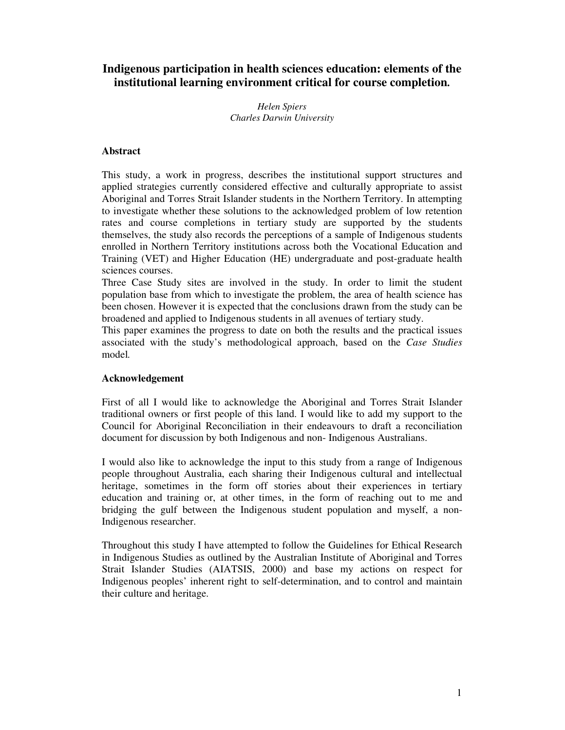# **Indigenous participation in health sciences education: elements of the institutional learning environment critical for course completion.**

*Helen Spiers Charles Darwin University*

# **Abstract**

This study, a work in progress, describes the institutional support structures and applied strategies currently considered effective and culturally appropriate to assist Aboriginal and Torres Strait Islander students in the Northern Territory. In attempting to investigate whether these solutions to the acknowledged problem of low retention rates and course completions in tertiary study are supported by the students themselves, the study also records the perceptions of a sample of Indigenous students enrolled in Northern Territory institutions across both the Vocational Education and Training (VET) and Higher Education (HE) undergraduate and post-graduate health sciences courses.

Three Case Study sites are involved in the study. In order to limit the student population base from which to investigate the problem, the area of health science has been chosen. However it is expected that the conclusions drawn from the study can be broadened and applied to Indigenous students in all avenues of tertiary study.

This paper examines the progress to date on both the results and the practical issues associated with the study's methodological approach, based on the *Case Studies* model*.*

# **Acknowledgement**

First of all I would like to acknowledge the Aboriginal and Torres Strait Islander traditional owners or first people of this land. I would like to add my support to the Council for Aboriginal Reconciliation in their endeavours to draft a reconciliation document for discussion by both Indigenous and non- Indigenous Australians.

I would also like to acknowledge the input to this study from a range of Indigenous people throughout Australia, each sharing their Indigenous cultural and intellectual heritage, sometimes in the form off stories about their experiences in tertiary education and training or, at other times, in the form of reaching out to me and bridging the gulf between the Indigenous student population and myself, a non-Indigenous researcher.

Throughout this study I have attempted to follow the Guidelines for Ethical Research in Indigenous Studies as outlined by the Australian Institute of Aboriginal and Torres Strait Islander Studies (AIATSIS, 2000) and base my actions on respect for Indigenous peoples' inherent right to self-determination, and to control and maintain their culture and heritage.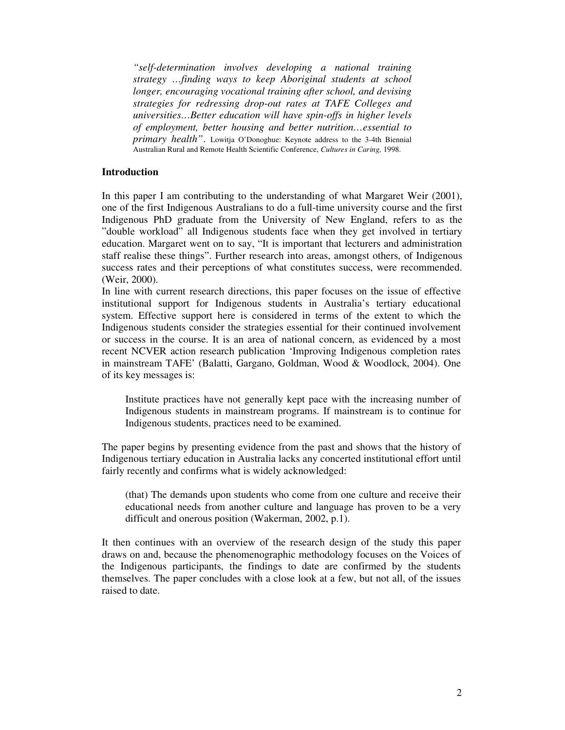*"self-determination involves developing a national training strategy …finding ways to keep Aboriginal students at school longer, encouraging vocational training after school, and devising strategies for redressing drop-out rates at TAFE Colleges and universities…Better education will have spin-offs in higher levels of employment, better housing and better nutrition…essential to primary health"*. Lowitja O'Donoghue: Keynote address to the 3-4th Biennial Australian Rural and Remote Health Scientific Conference, *Cultures in Caring,* 1998.

## **Introduction**

In this paper I am contributing to the understanding of what Margaret Weir (2001), one of the first Indigenous Australians to do a full-time university course and the first Indigenous PhD graduate from the University of New England, refers to as the "double workload" all Indigenous students face when they get involved in tertiary education. Margaret went on to say, "It is important that lecturers and administration staff realise these things". Further research into areas, amongst others, of Indigenous success rates and their perceptions of what constitutes success, were recommended. (Weir, 2000).

In line with current research directions, this paper focuses on the issue of effective institutional support for Indigenous students in Australia's tertiary educational system. Effective support here is considered in terms of the extent to which the Indigenous students consider the strategies essential for their continued involvement or success in the course. It is an area of national concern, as evidenced by a most recent NCVER action research publication 'Improving Indigenous completion rates in mainstream TAFE' (Balatti, Gargano, Goldman, Wood & Woodlock, 2004). One of its key messages is:

Institute practices have not generally kept pace with the increasing number of Indigenous students in mainstream programs. If mainstream is to continue for Indigenous students, practices need to be examined.

The paper begins by presenting evidence from the past and shows that the history of Indigenous tertiary education in Australia lacks any concerted institutional effort until fairly recently and confirms what is widely acknowledged:

(that) The demands upon students who come from one culture and receive their educational needs from another culture and language has proven to be a very difficult and onerous position (Wakerman, 2002, p.1).

It then continues with an overview of the research design of the study this paper draws on and, because the phenomenographic methodology focuses on the Voices of the Indigenous participants, the findings to date are confirmed by the students themselves. The paper concludes with a close look at a few, but not all, of the issues raised to date.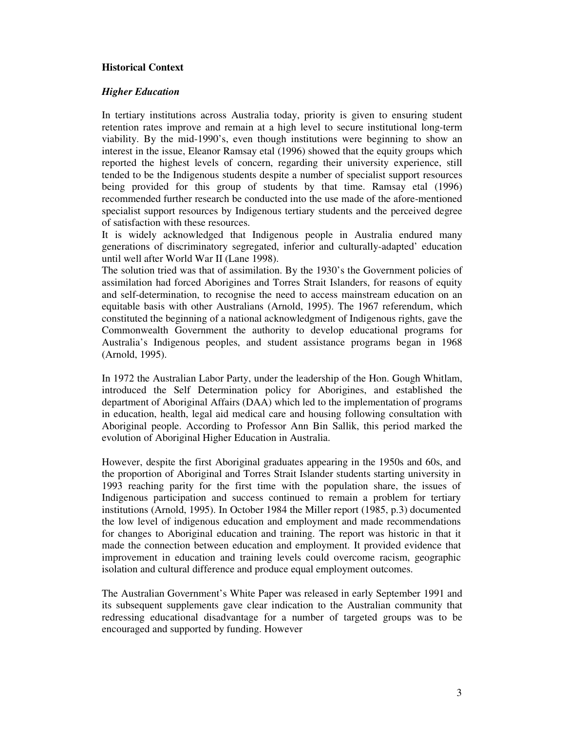## **Historical Context**

#### *Higher Education*

In tertiary institutions across Australia today, priority is given to ensuring student retention rates improve and remain at a high level to secure institutional long-term viability. By the mid-1990's, even though institutions were beginning to show an interest in the issue, Eleanor Ramsay etal (1996) showed that the equity groups which reported the highest levels of concern, regarding their university experience, still tended to be the Indigenous students despite a number of specialist support resources being provided for this group of students by that time. Ramsay etal (1996) recommended further research be conducted into the use made of the afore-mentioned specialist support resources by Indigenous tertiary students and the perceived degree of satisfaction with these resources.

It is widely acknowledged that Indigenous people in Australia endured many generations of discriminatory segregated, inferior and culturally-adapted' education until well after World War II (Lane 1998).

The solution tried was that of assimilation. By the 1930's the Government policies of assimilation had forced Aborigines and Torres Strait Islanders, for reasons of equity and self-determination, to recognise the need to access mainstream education on an equitable basis with other Australians (Arnold, 1995). The 1967 referendum, which constituted the beginning of a national acknowledgment of Indigenous rights, gave the Commonwealth Government the authority to develop educational programs for Australia's Indigenous peoples, and student assistance programs began in 1968 (Arnold, 1995).

In 1972 the Australian Labor Party, under the leadership of the Hon. Gough Whitlam, introduced the Self Determination policy for Aborigines, and established the department of Aboriginal Affairs (DAA) which led to the implementation of programs in education, health, legal aid medical care and housing following consultation with Aboriginal people. According to Professor Ann Bin Sallik, this period marked the evolution of Aboriginal Higher Education in Australia.

However, despite the first Aboriginal graduates appearing in the 1950s and 60s, and the proportion of Aboriginal and Torres Strait Islander students starting university in 1993 reaching parity for the first time with the population share, the issues of Indigenous participation and success continued to remain a problem for tertiary institutions (Arnold, 1995). In October 1984 the Miller report (1985, p.3) documented the low level of indigenous education and employment and made recommendations for changes to Aboriginal education and training. The report was historic in that it made the connection between education and employment. It provided evidence that improvement in education and training levels could overcome racism, geographic isolation and cultural difference and produce equal employment outcomes.

The Australian Government's White Paper was released in early September 1991 and its subsequent supplements gave clear indication to the Australian community that redressing educational disadvantage for a number of targeted groups was to be encouraged and supported by funding. However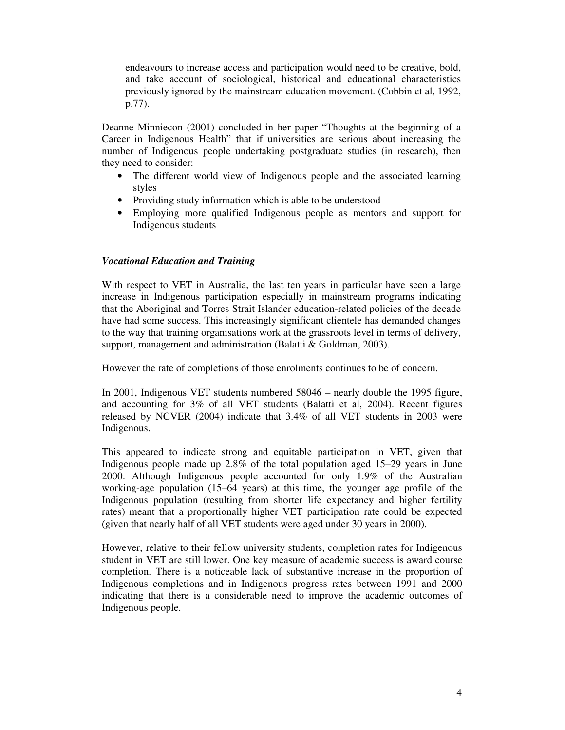endeavours to increase access and participation would need to be creative, bold, and take account of sociological, historical and educational characteristics previously ignored by the mainstream education movement. (Cobbin et al, 1992, p.77).

Deanne Minniecon (2001) concluded in her paper "Thoughts at the beginning of a Career in Indigenous Health" that if universities are serious about increasing the number of Indigenous people undertaking postgraduate studies (in research), then they need to consider:

- The different world view of Indigenous people and the associated learning styles
- Providing study information which is able to be understood
- Employing more qualified Indigenous people as mentors and support for Indigenous students

# *Vocational Education and Training*

With respect to VET in Australia, the last ten years in particular have seen a large increase in Indigenous participation especially in mainstream programs indicating that the Aboriginal and Torres Strait Islander education-related policies of the decade have had some success. This increasingly significant clientele has demanded changes to the way that training organisations work at the grassroots level in terms of delivery, support, management and administration (Balatti & Goldman, 2003).

However the rate of completions of those enrolments continues to be of concern.

In 2001, Indigenous VET students numbered 58046 – nearly double the 1995 figure, and accounting for 3% of all VET students (Balatti et al, 2004). Recent figures released by NCVER (2004) indicate that 3.4% of all VET students in 2003 were Indigenous.

This appeared to indicate strong and equitable participation in VET, given that Indigenous people made up 2.8% of the total population aged 15–29 years in June 2000. Although Indigenous people accounted for only 1.9% of the Australian working-age population (15–64 years) at this time, the younger age profile of the Indigenous population (resulting from shorter life expectancy and higher fertility rates) meant that a proportionally higher VET participation rate could be expected (given that nearly half of all VET students were aged under 30 years in 2000).

However, relative to their fellow university students, completion rates for Indigenous student in VET are still lower. One key measure of academic success is award course completion. There is a noticeable lack of substantive increase in the proportion of Indigenous completions and in Indigenous progress rates between 1991 and 2000 indicating that there is a considerable need to improve the academic outcomes of Indigenous people.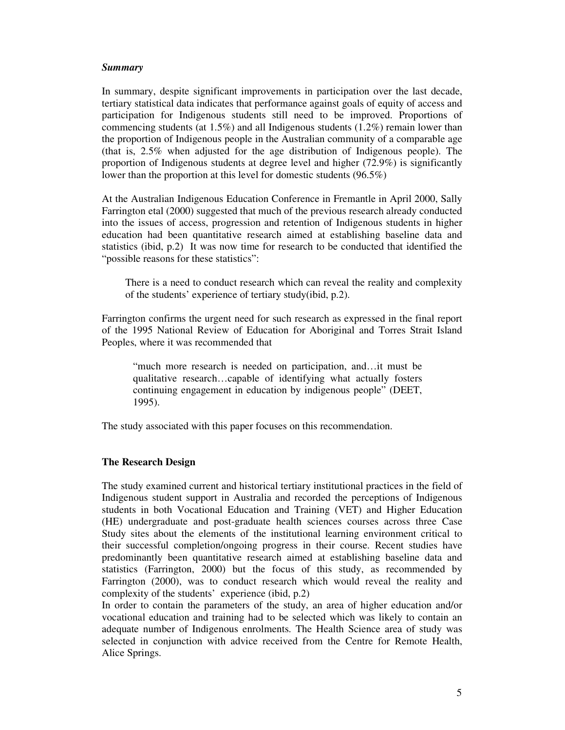#### *Summary*

In summary, despite significant improvements in participation over the last decade, tertiary statistical data indicates that performance against goals of equity of access and participation for Indigenous students still need to be improved. Proportions of commencing students (at  $1.5\%$ ) and all Indigenous students (1.2%) remain lower than the proportion of Indigenous people in the Australian community of a comparable age (that is, 2.5% when adjusted for the age distribution of Indigenous people). The proportion of Indigenous students at degree level and higher (72.9%) is significantly lower than the proportion at this level for domestic students (96.5%)

At the Australian Indigenous Education Conference in Fremantle in April 2000, Sally Farrington etal (2000) suggested that much of the previous research already conducted into the issues of access, progression and retention of Indigenous students in higher education had been quantitative research aimed at establishing baseline data and statistics (ibid, p.2) It was now time for research to be conducted that identified the "possible reasons for these statistics":

There is a need to conduct research which can reveal the reality and complexity of the students' experience of tertiary study(ibid, p.2).

Farrington confirms the urgent need for such research as expressed in the final report of the 1995 National Review of Education for Aboriginal and Torres Strait Island Peoples, where it was recommended that

"much more research is needed on participation, and…it must be qualitative research…capable of identifying what actually fosters continuing engagement in education by indigenous people" (DEET, 1995).

The study associated with this paper focuses on this recommendation.

# **The Research Design**

The study examined current and historical tertiary institutional practices in the field of Indigenous student support in Australia and recorded the perceptions of Indigenous students in both Vocational Education and Training (VET) and Higher Education (HE) undergraduate and post-graduate health sciences courses across three Case Study sites about the elements of the institutional learning environment critical to their successful completion/ongoing progress in their course. Recent studies have predominantly been quantitative research aimed at establishing baseline data and statistics (Farrington, 2000) but the focus of this study, as recommended by Farrington (2000), was to conduct research which would reveal the reality and complexity of the students' experience (ibid, p.2)

In order to contain the parameters of the study, an area of higher education and/or vocational education and training had to be selected which was likely to contain an adequate number of Indigenous enrolments. The Health Science area of study was selected in conjunction with advice received from the Centre for Remote Health, Alice Springs.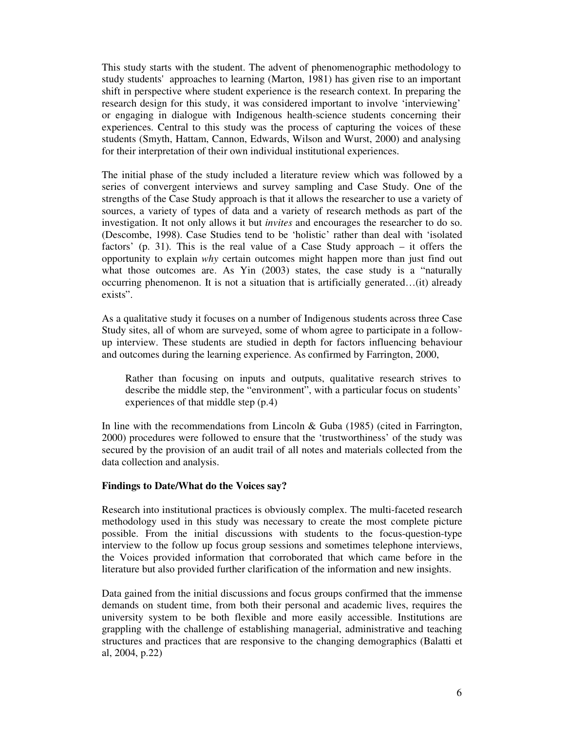This study starts with the student. The advent of phenomenographic methodology to study students'approaches to learning (Marton, 1981) has given rise to an important shift in perspective where student experience is the research context. In preparing the research design for this study, it was considered important to involve 'interviewing' or engaging in dialogue with Indigenous health-science students concerning their experiences. Central to this study was the process of capturing the voices of these students (Smyth, Hattam, Cannon, Edwards, Wilson and Wurst, 2000) and analysing for their interpretation of their own individual institutional experiences.

The initial phase of the study included a literature review which was followed by a series of convergent interviews and survey sampling and Case Study. One of the strengths of the Case Study approach is that it allows the researcher to use a variety of sources, a variety of types of data and a variety of research methods as part of the investigation. It not only allows it but *invites* and encourages the researcher to do so. (Descombe, 1998). Case Studies tend to be 'holistic' rather than deal with 'isolated factors' (p. 31). This is the real value of a Case Study approach – it offers the opportunity to explain *why* certain outcomes might happen more than just find out what those outcomes are. As Yin (2003) states, the case study is a "naturally occurring phenomenon. It is not a situation that is artificially generated…(it) already exists".

As a qualitative study it focuses on a number of Indigenous students across three Case Study sites, all of whom are surveyed, some of whom agree to participate in a followup interview. These students are studied in depth for factors influencing behaviour and outcomes during the learning experience. As confirmed by Farrington, 2000,

Rather than focusing on inputs and outputs, qualitative research strives to describe the middle step, the "environment", with a particular focus on students' experiences of that middle step (p.4)

In line with the recommendations from Lincoln & Guba (1985) (cited in Farrington, 2000) procedures were followed to ensure that the 'trustworthiness' of the study was secured by the provision of an audit trail of all notes and materials collected from the data collection and analysis.

### **Findings to Date/What do the Voices say?**

Research into institutional practices is obviously complex. The multi-faceted research methodology used in this study was necessary to create the most complete picture possible. From the initial discussions with students to the focus-question-type interview to the follow up focus group sessions and sometimes telephone interviews, the Voices provided information that corroborated that which came before in the literature but also provided further clarification of the information and new insights.

Data gained from the initial discussions and focus groups confirmed that the immense demands on student time, from both their personal and academic lives, requires the university system to be both flexible and more easily accessible. Institutions are grappling with the challenge of establishing managerial, administrative and teaching structures and practices that are responsive to the changing demographics (Balatti et al, 2004, p.22)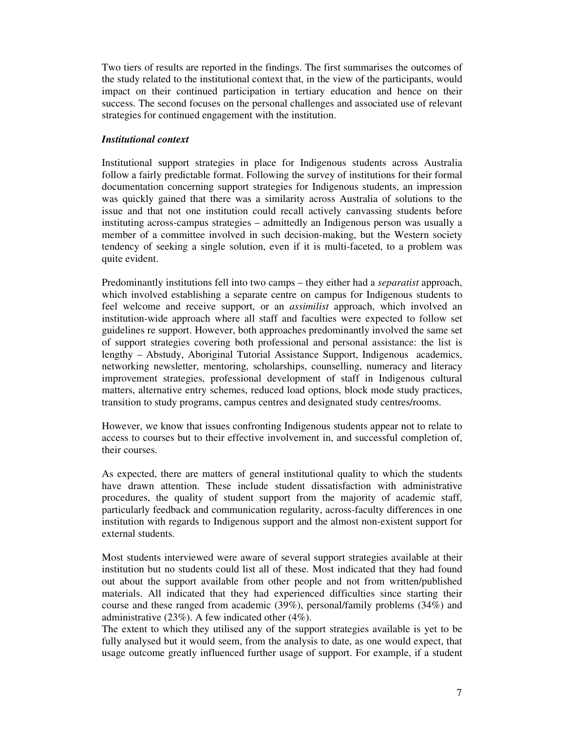Two tiers of results are reported in the findings. The first summarises the outcomes of the study related to the institutional context that, in the view of the participants, would impact on their continued participation in tertiary education and hence on their success. The second focuses on the personal challenges and associated use of relevant strategies for continued engagement with the institution.

## *Institutional context*

Institutional support strategies in place for Indigenous students across Australia follow a fairly predictable format. Following the survey of institutions for their formal documentation concerning support strategies for Indigenous students, an impression was quickly gained that there was a similarity across Australia of solutions to the issue and that not one institution could recall actively canvassing students before instituting across-campus strategies – admittedly an Indigenous person was usually a member of a committee involved in such decision-making, but the Western society tendency of seeking a single solution, even if it is multi-faceted, to a problem was quite evident.

Predominantly institutions fell into two camps – they either had a *separatist* approach, which involved establishing a separate centre on campus for Indigenous students to feel welcome and receive support, or an *assimilist* approach, which involved an institution-wide approach where all staff and faculties were expected to follow set guidelines re support. However, both approaches predominantly involved the same set of support strategies covering both professional and personal assistance: the list is lengthy – Abstudy, Aboriginal Tutorial Assistance Support, Indigenous academics, networking newsletter, mentoring, scholarships, counselling, numeracy and literacy improvement strategies, professional development of staff in Indigenous cultural matters, alternative entry schemes, reduced load options, block mode study practices, transition to study programs, campus centres and designated study centres/rooms.

However, we know that issues confronting Indigenous students appear not to relate to access to courses but to their effective involvement in, and successful completion of, their courses.

As expected, there are matters of general institutional quality to which the students have drawn attention. These include student dissatisfaction with administrative procedures, the quality of student support from the majority of academic staff, particularly feedback and communication regularity, across-faculty differences in one institution with regards to Indigenous support and the almost non-existent support for external students.

Most students interviewed were aware of several support strategies available at their institution but no students could list all of these. Most indicated that they had found out about the support available from other people and not from written/published materials. All indicated that they had experienced difficulties since starting their course and these ranged from academic (39%), personal/family problems (34%) and administrative (23%). A few indicated other (4%).

The extent to which they utilised any of the support strategies available is yet to be fully analysed but it would seem, from the analysis to date, as one would expect, that usage outcome greatly influenced further usage of support. For example, if a student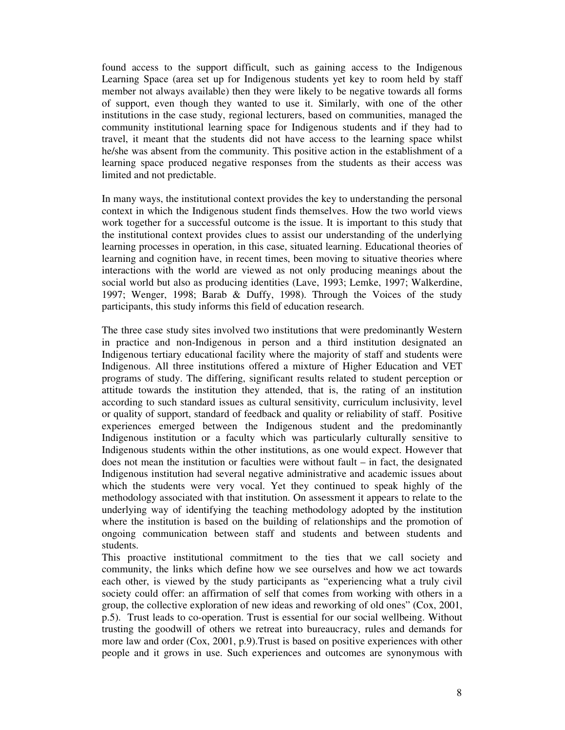found access to the support difficult, such as gaining access to the Indigenous Learning Space (area set up for Indigenous students yet key to room held by staff member not always available) then they were likely to be negative towards all forms of support, even though they wanted to use it. Similarly, with one of the other institutions in the case study, regional lecturers, based on communities, managed the community institutional learning space for Indigenous students and if they had to travel, it meant that the students did not have access to the learning space whilst he/she was absent from the community. This positive action in the establishment of a learning space produced negative responses from the students as their access was limited and not predictable.

In many ways, the institutional context provides the key to understanding the personal context in which the Indigenous student finds themselves. How the two world views work together for a successful outcome is the issue. It is important to this study that the institutional context provides clues to assist our understanding of the underlying learning processes in operation, in this case, situated learning. Educational theories of learning and cognition have, in recent times, been moving to situative theories where interactions with the world are viewed as not only producing meanings about the social world but also as producing identities (Lave, 1993; Lemke, 1997; Walkerdine, 1997; Wenger, 1998; Barab & Duffy, 1998). Through the Voices of the study participants, this study informs this field of education research.

The three case study sites involved two institutions that were predominantly Western in practice and non-Indigenous in person and a third institution designated an Indigenous tertiary educational facility where the majority of staff and students were Indigenous. All three institutions offered a mixture of Higher Education and VET programs of study. The differing, significant results related to student perception or attitude towards the institution they attended, that is, the rating of an institution according to such standard issues as cultural sensitivity, curriculum inclusivity, level or quality of support, standard of feedback and quality or reliability of staff. Positive experiences emerged between the Indigenous student and the predominantly Indigenous institution or a faculty which was particularly culturally sensitive to Indigenous students within the other institutions, as one would expect. However that does not mean the institution or faculties were without fault – in fact, the designated Indigenous institution had several negative administrative and academic issues about which the students were very vocal. Yet they continued to speak highly of the methodology associated with that institution. On assessment it appears to relate to the underlying way of identifying the teaching methodology adopted by the institution where the institution is based on the building of relationships and the promotion of ongoing communication between staff and students and between students and students.

This proactive institutional commitment to the ties that we call society and community, the links which define how we see ourselves and how we act towards each other, is viewed by the study participants as "experiencing what a truly civil society could offer: an affirmation of self that comes from working with others in a group, the collective exploration of new ideas and reworking of old ones" (Cox, 2001, p.5). Trust leads to co-operation. Trust is essential for our social wellbeing. Without trusting the goodwill of others we retreat into bureaucracy, rules and demands for more law and order (Cox, 2001, p.9).Trust is based on positive experiences with other people and it grows in use. Such experiences and outcomes are synonymous with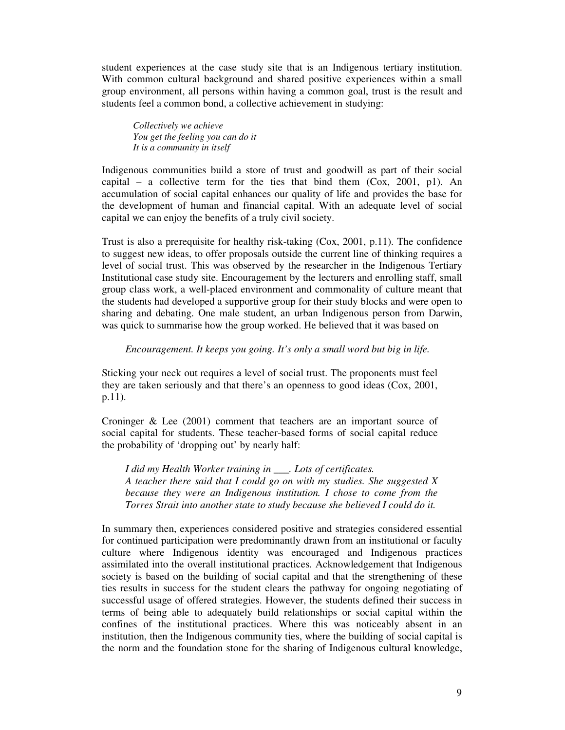student experiences at the case study site that is an Indigenous tertiary institution. With common cultural background and shared positive experiences within a small group environment, all persons within having a common goal, trust is the result and students feel a common bond, a collective achievement in studying:

*Collectively we achieve You get the feeling you can do it It is a community in itself*

Indigenous communities build a store of trust and goodwill as part of their social capital – a collective term for the ties that bind them  $(Cox, 2001, p1)$ . An accumulation of social capital enhances our quality of life and provides the base for the development of human and financial capital. With an adequate level of social capital we can enjoy the benefits of a truly civil society.

Trust is also a prerequisite for healthy risk-taking (Cox, 2001, p.11). The confidence to suggest new ideas, to offer proposals outside the current line of thinking requires a level of social trust. This was observed by the researcher in the Indigenous Tertiary Institutional case study site. Encouragement by the lecturers and enrolling staff, small group class work, a well-placed environment and commonality of culture meant that the students had developed a supportive group for their study blocks and were open to sharing and debating. One male student, an urban Indigenous person from Darwin, was quick to summarise how the group worked. He believed that it was based on

*Encouragement. It keeps you going. It's only a small word but big in life.*

Sticking your neck out requires a level of social trust. The proponents must feel they are taken seriously and that there's an openness to good ideas (Cox, 2001, p.11).

Croninger & Lee (2001) comment that teachers are an important source of social capital for students. These teacher-based forms of social capital reduce the probability of 'dropping out' by nearly half:

*I did my Health Worker training in \_\_\_. Lots of certificates. A teacher there said that I could go on with my studies. She suggested X because they were an Indigenous institution. I chose to come from the Torres Strait into another state to study because she believed I could do it.*

In summary then, experiences considered positive and strategies considered essential for continued participation were predominantly drawn from an institutional or faculty culture where Indigenous identity was encouraged and Indigenous practices assimilated into the overall institutional practices. Acknowledgement that Indigenous society is based on the building of social capital and that the strengthening of these ties results in success for the student clears the pathway for ongoing negotiating of successful usage of offered strategies. However, the students defined their success in terms of being able to adequately build relationships or social capital within the confines of the institutional practices. Where this was noticeably absent in an institution, then the Indigenous community ties, where the building of social capital is the norm and the foundation stone for the sharing of Indigenous cultural knowledge,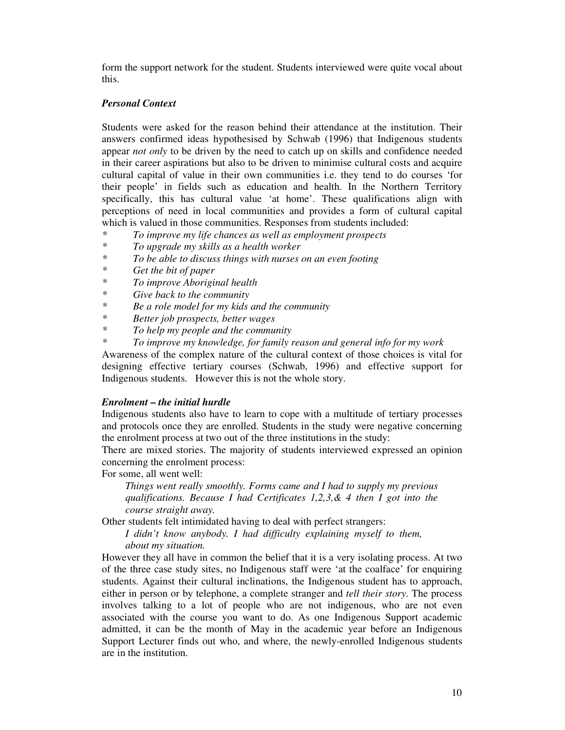form the support network for the student. Students interviewed were quite vocal about this.

# *Personal Context*

Students were asked for the reason behind their attendance at the institution. Their answers confirmed ideas hypothesised by Schwab (1996) that Indigenous students appear *not only* to be driven by the need to catch up on skills and confidence needed in their career aspirations but also to be driven to minimise cultural costs and acquire cultural capital of value in their own communities i.e. they tend to do courses 'for their people' in fields such as education and health. In the Northern Territory specifically, this has cultural value 'at home'. These qualifications align with perceptions of need in local communities and provides a form of cultural capital which is valued in those communities. Responses from students included:

- *\* To improve my life chances as well as employment prospects*
- *\* To upgrade my skills as a health worker*
- *\* To be able to discuss things with nurses on an even footing*
- *\* Get the bit of paper*
- *\* To improve Aboriginal health*
- *\* Give back to the community*
- *\* Be a role model for my kids and the community*
- *\* Better job prospects, better wages*
- *\* To help my people and the community*
- *\* To improve my knowledge, for family reason and general info for my work*

Awareness of the complex nature of the cultural context of those choices is vital for designing effective tertiary courses (Schwab, 1996) and effective support for Indigenous students. However this is not the whole story.

# *Enrolment – the initial hurdle*

Indigenous students also have to learn to cope with a multitude of tertiary processes and protocols once they are enrolled. Students in the study were negative concerning the enrolment process at two out of the three institutions in the study:

There are mixed stories. The majority of students interviewed expressed an opinion concerning the enrolment process:

For some, all went well:

*Things went really smoothly. Forms came and I had to supply my previous qualifications. Because I had Certificates 1,2,3,& 4 then I got into the course straight away.*

Other students felt intimidated having to deal with perfect strangers:

*I didn't know anybody. I had difficulty explaining myself to them, about my situation.*

However they all have in common the belief that it is a very isolating process. At two of the three case study sites, no Indigenous staff were 'at the coalface' for enquiring students. Against their cultural inclinations, the Indigenous student has to approach, either in person or by telephone, a complete stranger and *tell their story*. The process involves talking to a lot of people who are not indigenous, who are not even associated with the course you want to do. As one Indigenous Support academic admitted, it can be the month of May in the academic year before an Indigenous Support Lecturer finds out who, and where, the newly-enrolled Indigenous students are in the institution.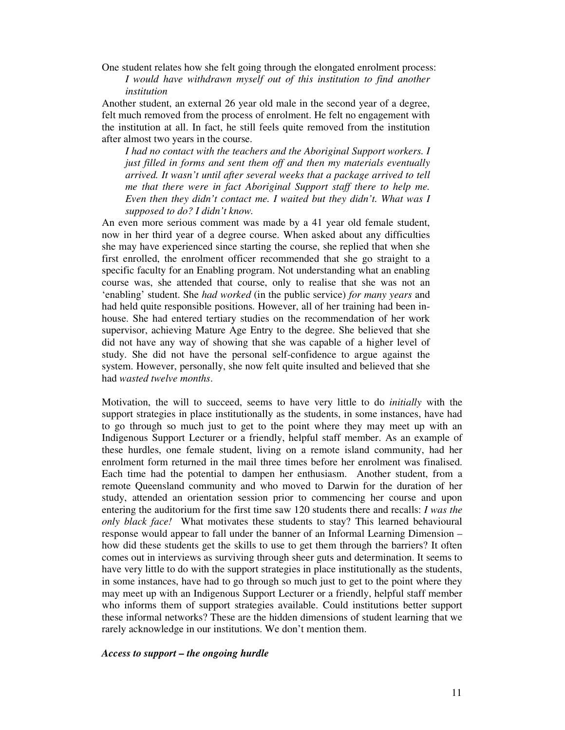One student relates how she felt going through the elongated enrolment process: *I would have withdrawn myself out of this institution to find another institution*

Another student, an external 26 year old male in the second year of a degree, felt much removed from the process of enrolment. He felt no engagement with the institution at all. In fact, he still feels quite removed from the institution after almost two years in the course.

*I had no contact with the teachers and the Aboriginal Support workers. I just filled in forms and sent them off and then my materials eventually arrived. It wasn't until after several weeks that a package arrived to tell me that there were in fact Aboriginal Support staff there to help me. Even then they didn't contact me. I waited but they didn't. What was I supposed to do? I didn't know.*

An even more serious comment was made by a 41 year old female student, now in her third year of a degree course. When asked about any difficulties she may have experienced since starting the course, she replied that when she first enrolled, the enrolment officer recommended that she go straight to a specific faculty for an Enabling program. Not understanding what an enabling course was, she attended that course, only to realise that she was not an 'enabling' student. She *had worked* (in the public service) *for many years* and had held quite responsible positions. However, all of her training had been inhouse. She had entered tertiary studies on the recommendation of her work supervisor, achieving Mature Age Entry to the degree. She believed that she did not have any way of showing that she was capable of a higher level of study. She did not have the personal self-confidence to argue against the system. However, personally, she now felt quite insulted and believed that she had *wasted twelve months*.

Motivation, the will to succeed, seems to have very little to do *initially* with the support strategies in place institutionally as the students, in some instances, have had to go through so much just to get to the point where they may meet up with an Indigenous Support Lecturer or a friendly, helpful staff member. As an example of these hurdles, one female student, living on a remote island community, had her enrolment form returned in the mail three times before her enrolment was finalised. Each time had the potential to dampen her enthusiasm. Another student, from a remote Queensland community and who moved to Darwin for the duration of her study, attended an orientation session prior to commencing her course and upon entering the auditorium for the first time saw 120 students there and recalls: *I was the only black face!* What motivates these students to stay? This learned behavioural response would appear to fall under the banner of an Informal Learning Dimension – how did these students get the skills to use to get them through the barriers? It often comes out in interviews as surviving through sheer guts and determination. It seems to have very little to do with the support strategies in place institutionally as the students, in some instances, have had to go through so much just to get to the point where they may meet up with an Indigenous Support Lecturer or a friendly, helpful staff member who informs them of support strategies available. Could institutions better support these informal networks? These are the hidden dimensions of student learning that we rarely acknowledge in our institutions. We don't mention them.

# *Access to support – the ongoing hurdle*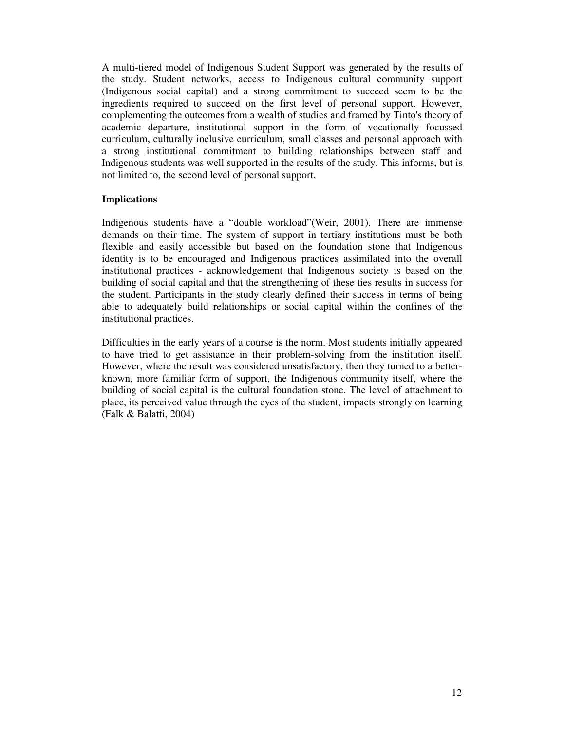A multi-tiered model of Indigenous Student Support was generated by the results of the study. Student networks, access to Indigenous cultural community support (Indigenous social capital) and a strong commitment to succeed seem to be the ingredients required to succeed on the first level of personal support. However, complementing the outcomes from a wealth of studies and framed by Tinto's theory of academic departure, institutional support in the form of vocationally focussed curriculum, culturally inclusive curriculum, small classes and personal approach with a strong institutional commitment to building relationships between staff and Indigenous students was well supported in the results of the study. This informs, but is not limited to, the second level of personal support.

# **Implications**

Indigenous students have a "double workload"(Weir, 2001). There are immense demands on their time. The system of support in tertiary institutions must be both flexible and easily accessible but based on the foundation stone that Indigenous identity is to be encouraged and Indigenous practices assimilated into the overall institutional practices - acknowledgement that Indigenous society is based on the building of social capital and that the strengthening of these ties results in success for the student. Participants in the study clearly defined their success in terms of being able to adequately build relationships or social capital within the confines of the institutional practices.

Difficulties in the early years of a course is the norm. Most students initially appeared to have tried to get assistance in their problem-solving from the institution itself. However, where the result was considered unsatisfactory, then they turned to a betterknown, more familiar form of support, the Indigenous community itself, where the building of social capital is the cultural foundation stone. The level of attachment to place, its perceived value through the eyes of the student, impacts strongly on learning (Falk & Balatti, 2004)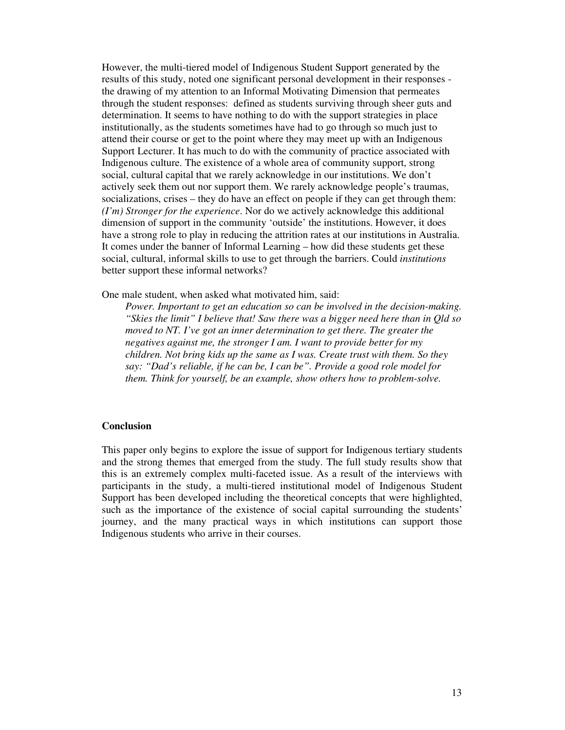However, the multi-tiered model of Indigenous Student Support generated by the results of this study, noted one significant personal development in their responses the drawing of my attention to an Informal Motivating Dimension that permeates through the student responses: defined as students surviving through sheer guts and determination. It seems to have nothing to do with the support strategies in place institutionally, as the students sometimes have had to go through so much just to attend their course or get to the point where they may meet up with an Indigenous Support Lecturer. It has much to do with the community of practice associated with Indigenous culture. The existence of a whole area of community support, strong social, cultural capital that we rarely acknowledge in our institutions. We don't actively seek them out nor support them. We rarely acknowledge people's traumas, socializations, crises – they do have an effect on people if they can get through them: *(I'm) Stronger for the experience*. Nor do we actively acknowledge this additional dimension of support in the community 'outside' the institutions. However, it does have a strong role to play in reducing the attrition rates at our institutions in Australia. It comes under the banner of Informal Learning – how did these students get these social, cultural, informal skills to use to get through the barriers. Could *institutions* better support these informal networks?

One male student, when asked what motivated him, said:

*Power. Important to get an education so can be involved in the decision-making. "Skies the limit" I believe that! Saw there was a bigger need here than in Qld so moved to NT. I've got an inner determination to get there. The greater the negatives against me, the stronger I am. I want to provide better for my children. Not bring kids up the same as I was. Create trust with them. So they say: "Dad's reliable, if he can be, I can be". Provide a good role model for them. Think for yourself, be an example, show others how to problem-solve.*

# **Conclusion**

This paper only begins to explore the issue of support for Indigenous tertiary students and the strong themes that emerged from the study. The full study results show that this is an extremely complex multi-faceted issue. As a result of the interviews with participants in the study, a multi-tiered institutional model of Indigenous Student Support has been developed including the theoretical concepts that were highlighted, such as the importance of the existence of social capital surrounding the students' journey, and the many practical ways in which institutions can support those Indigenous students who arrive in their courses.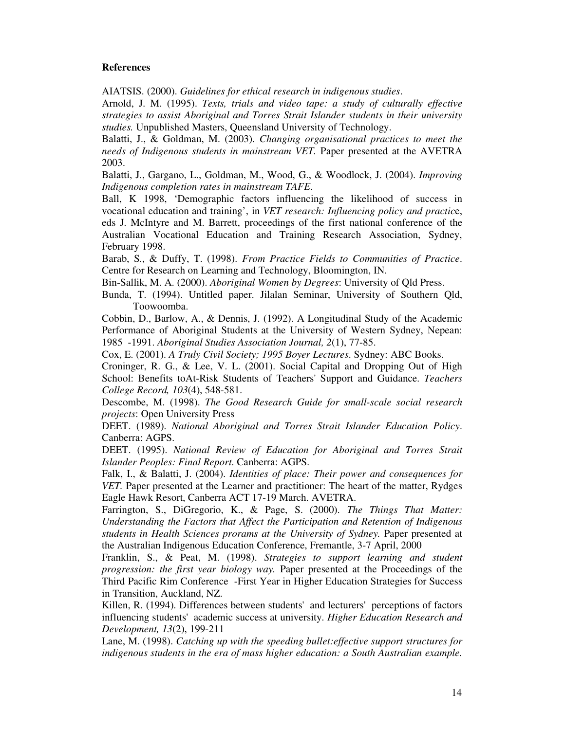#### **References**

AIATSIS. (2000). *Guidelines for ethical research in indigenous studies*.

Arnold, J. M. (1995). *Texts, trials and video tape: a study of culturally effective strategies to assist Aboriginal and Torres Strait Islander students in their university studies.* Unpublished Masters, Queensland University of Technology.

Balatti, J., & Goldman, M. (2003). *Changing organisational practices to meet the needs of Indigenous students in mainstream VET.* Paper presented at the AVETRA 2003.

Balatti, J., Gargano, L., Goldman, M., Wood, G., & Woodlock, J. (2004). *Improving Indigenous completion rates in mainstream TAFE*.

Ball, K 1998, 'Demographic factors influencing the likelihood of success in vocational education and training', in *VET research: Influencing policy and practic*e, eds J. McIntyre and M. Barrett, proceedings of the first national conference of the Australian Vocational Education and Training Research Association, Sydney, February 1998.

Barab, S., & Duffy, T. (1998). *From Practice Fields to Communities of Practice*. Centre for Research on Learning and Technology, Bloomington, IN.

Bin-Sallik, M. A. (2000). *Aboriginal Women by Degrees*: University of Qld Press.

Bunda, T. (1994). Untitled paper. Jilalan Seminar, University of Southern Qld, Toowoomba.

Cobbin, D., Barlow, A., & Dennis, J. (1992). A Longitudinal Study of the Academic Performance of Aboriginal Students at the University of Western Sydney, Nepean: 1985 -1991. *Aboriginal Studies Association Journal, 2*(1), 77-85.

Cox, E. (2001). *A Truly Civil Society; 1995 Boyer Lectures*. Sydney: ABC Books.

Croninger, R. G., & Lee, V. L. (2001). Social Capital and Dropping Out of High School: Benefits toAt-Risk Students of Teachers'Support and Guidance. *Teachers College Record, 103*(4), 548-581.

Descombe, M. (1998). *The Good Research Guide for small-scale social research projects*: Open University Press

DEET. (1989). *National Aboriginal and Torres Strait Islander Education Policy*. Canberra: AGPS.

DEET. (1995). *National Review of Education for Aboriginal and Torres Strait Islander Peoples: Final Report*. Canberra: AGPS.

Falk, I., & Balatti, J. (2004). *Identities of place: Their power and consequences for VET.* Paper presented at the Learner and practitioner: The heart of the matter, Rydges Eagle Hawk Resort, Canberra ACT 17-19 March. AVETRA.

Farrington, S., DiGregorio, K., & Page, S. (2000). *The Things That Matter: Understanding the Factors that Affect the Participation and Retention of Indigenous students in Health Sciences prorams at the University of Sydney.* Paper presented at the Australian Indigenous Education Conference, Fremantle, 3-7 April, 2000

Franklin, S., & Peat, M. (1998). *Strategies to support learning and student progression: the first year biology way.* Paper presented at the Proceedings of the Third Pacific Rim Conference -First Year in Higher Education Strategies for Success in Transition, Auckland, NZ.

Killen, R. (1994). Differences between students' and lecturers' perceptions of factors influencing students'academic success at university. *Higher Education Research and Development, 13*(2), 199-211

Lane, M. (1998). *Catching up with the speeding bullet:effective support structures for indigenous students in the era of mass higher education: a South Australian example.*